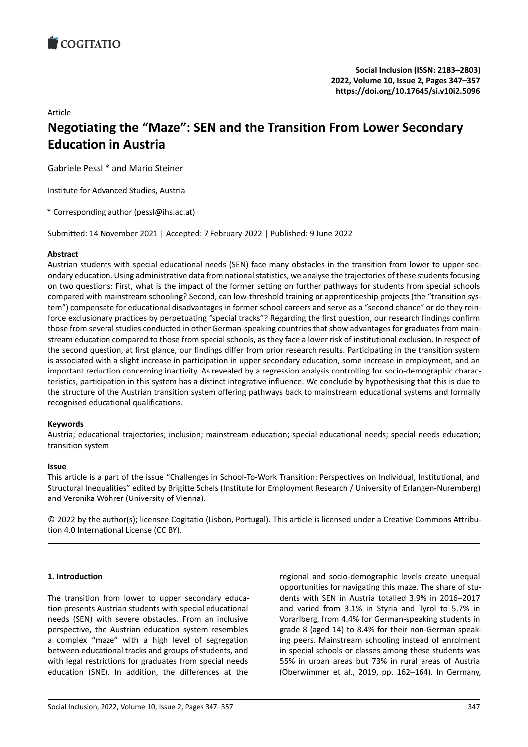# Article

# **Negotiating the "Maze": SEN and the TransitionF[rom Lower Secondary](https://doi.org/10.17645/si.v10i2.5096) Education in Austria**

Gabriele Pessl \* and Mario Steiner

Institute for Advanced Studies, Austria

\* Corresponding author (pessl@ihs.ac.at)

Submitted: 14 November 2021 | Accepted: 7 February 2022 | Published: 9 June 2022

# **Abstract**

Austrian students with special educational needs (SEN) face many obstacles in the transition from lower to upper sec‐ ondary education. Using administrative data from national statistics, we analyse the trajectories of these students focusing on two questions: First, what is the impact of the former setting on further pathways for students from special schools compared with mainstream schooling? Second, can low-threshold training or apprenticeship projects (the "transition system") compensate for educational disadvantages in former school careers and serve as a "second chance" or do they reinforce exclusionary practices by perpetuating "special tracks"? Regarding the first question, our research findings confirm those from several studies conducted in other German-speaking countries that show advantages for graduates from mainstream education compared to those from special schools, as they face a lower risk of institutional exclusion. In respect of the second question, at first glance, our findings differ from prior research results. Participating in the transition system is associated with a slight increase in participation in upper secondary education, some increase in employment, and an important reduction concerning inactivity. As revealed by a regression analysis controlling for socio-demographic characteristics, participation in this system has a distinct integrative influence. We conclude by hypothesising that this is due to the structure of the Austrian transition system offering pathways back to mainstream educational systems and formally recognised educational qualifications.

# **Keywords**

Austria; educational trajectories; inclusion; mainstream education; special educational needs; special needs education; transition system

### **Issue**

This article is a part of the issue "Challenges in School‐To‐Work Transition: Perspectives on Individual, Institutional, and Structural Inequalities" edited by Brigitte Schels (Institute for Employment Research / University of Erlangen‐Nuremberg) and Veronika Wöhrer (University of Vienna).

© 2022 by the author(s); licensee Cogitatio (Lisbon, Portugal). This article is licensed under a Creative Commons Attribu‐ tion 4.0 International License (CC BY).

# **1. Introduction**

The transition from lower to upper secondary educa‐ tion presents Austrian students with special educational needs (SEN) with severe obstacles. From an inclusive perspective, the Austrian education system resembles a complex "maze" with a high level of segregation between educational tracks and groups of students, and with legal restrictions for graduates from special needs education (SNE). In addition, the differences at the

regional and socio‐demographic levels create unequal opportunities for navigating this maze. The share of stu‐ dents with SEN in Austria totalled 3.9% in 2016–2017 and varied from 3.1% in Styria and Tyrol to 5.7% in Vorarlberg, from 4.4% for German‐speaking students in grade 8 (aged 14) to 8.4% for their non‐German speak‐ ing peers. Mainstream schooling instead of enrolment in special schools or classes among these students was 55% in urban areas but 73% in rural areas of Austria (Oberwimmer et al., 2019, pp. 162–164). In Germany,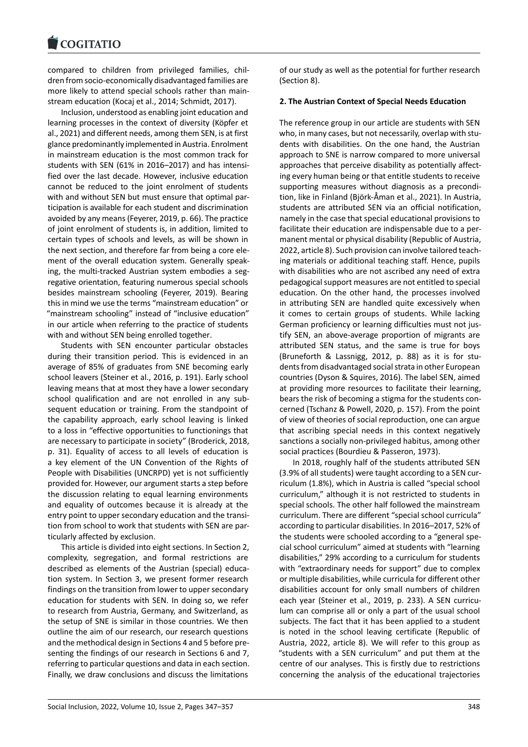#### **LOGITATIO**

compared to children from privileged families, chil‐ [dren from socio‐econ](https://www.cogitatiopress.com)omically disadvantaged families are more likely to attend special schools rather than main‐ stream education (Kocaj et al., 2014; Schmidt, 2017).

Inclusion, understood as enabling joint education and learning processes in the context of diversity (Köpfer et al., 2021) and different needs, among them SEN, is at first glance predominantly implemented in Austria. Enrolment in mainstream education is the most common track for students with SEN (61% in 2016–2017) and has intensi‐ fied over the last decade. However, inclusive education cannot be reduced to the joint enrolment of students with and without SEN but must ensure that optimal participation is available for each student and discrimination avoided by any means (Feyerer, 2019, p. 66). The practice of joint enrolment of students is, in addition, limited to certain types of schools and levels, as will be shown in the next section, and therefore far from being a core ele‐ ment of the overall education system. Generally speak‐ ing, the multi-tracked Austrian system embodies a segregative orientation, featuring numerous special schools besides mainstream schooling (Feyerer, 2019). Bearing this in mind we use the terms "mainstream education" or "mainstream schooling" instead of "inclusive education" in our article when referring to the practice of students with and without SEN being enrolled together.

Students with SEN encounter particular obstacles during their transition period. This is evidenced in an average of 85% of graduates from SNE becoming early school leavers (Steiner et al., 2016, p. 191). Early school leaving means that at most they have a lower secondary school qualification and are not enrolled in any subsequent education or training. From the standpoint of the capability approach, early school leaving is linked to a loss in "effective opportunities to functionings that are necessary to participate in society" (Broderick, 2018, p. 31). Equality of access to all levels of education is a key element of the UN Convention of the Rights of People with Disabilities (UNCRPD) yet is not sufficiently provided for. However, our argument starts a step before the discussion relating to equal learning environments and equality of outcomes because it is already at the entry point to upper secondary education and the transi‐ tion from school to work that students with SEN are par‐ ticularly affected by exclusion.

This article is divided into eight sections. In Section 2, complexity, segregation, and formal restrictions are described as elements of the Austrian (special) educa‐ tion system. In Section 3, we present former research findings on the transition from lower to upper secondary education for students with SEN. In doing so, we refer to research from Austria, Germany, and Switzerland, as the setup of SNE is similar in those countries. We then outline the aim of our research, our research questions and the methodical design in Sections 4 and 5 before pre‐ senting the findings of our research in Sections 6 and 7, referring to particular questions and data in each section. Finally, we draw conclusions and discuss the limitations

of our study as well as the potential for further research (Section 8).

### **2. The Austrian Context of Special Needs Education**

The reference group in our article are students with SEN who, in many cases, but not necessarily, overlap with students with disabilities. On the one hand, the Austrian approach to SNE is narrow compared to more universal approaches that perceive disability as potentially affect‐ ing every human being or that entitle students to receive supporting measures without diagnosis as a precondi‐ tion, like in Finland (Björk‐Åman et al., 2021). In Austria, students are attributed SEN via an official notification, namely in the case that special educational provisions to facilitate their education are indispensable due to a per‐ manent mental or physical disability (Republic of Austria, 2022, article 8). Such provision can involve tailored teach‐ ing materials or additional teaching staff. Hence, pupils with disabilities who are not ascribed any need of extra pedagogical support measures are not entitled to special education. On the other hand, the processes involved in attributing SEN are handled quite excessively when it comes to certain groups of students. While lacking German proficiency or learning difficulties must not jus‐ tify SEN, an above‐average proportion of migrants are attributed SEN status, and the same is true for boys (Bruneforth & Lassnigg, 2012, p. 88) as it is for stu‐ dents from disadvantaged social strata in other European countries (Dyson & Squires, 2016). The label SEN, aimed at providing more resources to facilitate their learning, bears the risk of becoming a stigma for the students con‐ cerned (Tschanz & Powell, 2020, p. 157). From the point of view of theories of social reproduction, one can argue that ascribing special needs in this context negatively sanctions a socially non‐privileged habitus, among other social practices (Bourdieu & Passeron, 1973).

In 2018, roughly half of the students attributed SEN (3.9% of all students) were taught according to a SEN cur‐ riculum (1.8%), which in Austria is called "special school curriculum," although it is not restricted to students in special schools. The other half followed the mainstream curriculum. There are different "special school curricula" according to particular disabilities. In 2016–2017, 52% of the students were schooled according to a "general spe‐ cial school curriculum" aimed at students with "learning disabilities," 29% according to a curriculum for students with "extraordinary needs for support" due to complex or multiple disabilities, while curricula for different other disabilities account for only small numbers of children each year (Steiner et al., 2019, p. 233). A SEN curriculum can comprise all or only a part of the usual school subjects. The fact that it has been applied to a student is noted in the school leaving certificate (Republic of Austria, 2022, article 8). We will refer to this group as "students with a SEN curriculum" and put them at the centre of our analyses. This is firstly due to restrictions concerning the analysis of the educational trajectories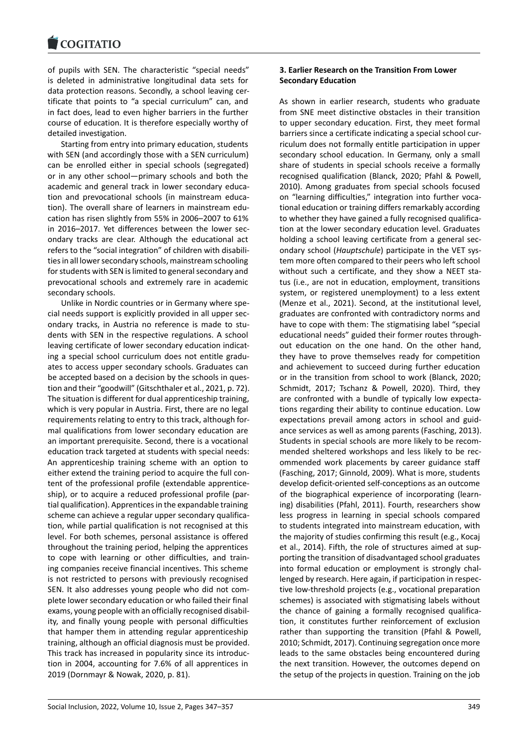#### **LOGITATIO**

of pupils with SEN. The characteristic "special needs" [is deleted in admin](https://www.cogitatiopress.com)istrative longitudinal data sets for data protection reasons. Secondly, a school leaving cer‐ tificate that points to "a special curriculum" can, and in fact does, lead to even higher barriers in the further course of education. It is therefore especially worthy of detailed investigation.

Starting from entry into primary education, students with SEN (and accordingly those with a SEN curriculum) can be enrolled either in special schools (segregated) or in any other school—primary schools and both the academic and general track in lower secondary educa‐ tion and prevocational schools (in mainstream educa‐ tion). The overall share of learners in mainstream edu‐ cation has risen slightly from 55% in 2006–2007 to 61% in 2016–2017. Yet differences between the lower secondary tracks are clear. Although the educational act refers to the "social integration" of children with disabili‐ ties in all lower secondary schools, mainstream schooling for students with SEN is limited to general secondary and prevocational schools and extremely rare in academic secondary schools.

Unlike in Nordic countries or in Germany where spe‐ cial needs support is explicitly provided in all upper sec‐ ondary tracks, in Austria no reference is made to stu‐ dents with SEN in the respective regulations. A school leaving certificate of lower secondary education indicat‐ ing a special school curriculum does not entitle gradu‐ ates to access upper secondary schools. Graduates can be accepted based on a decision by the schools in question and their "goodwill" (Gitschthaler et al., 2021, p. 72). The situation is different for dual apprenticeship training, which is very popular in Austria. First, there are no legal requirements relating to entry to this track, although for‐ mal qualifications from lower secondary education are an important prerequisite. Second, there is a vocational education track targeted at students with special needs: An apprenticeship training scheme with an option to either extend the training period to acquire the full content of the professional profile (extendable apprentice‐ ship), or to acquire a reduced professional profile (par‐ tial qualification). Apprentices in the expandable training scheme can achieve a regular upper secondary qualification, while partial qualification is not recognised at this level. For both schemes, personal assistance is offered throughout the training period, helping the apprentices to cope with learning or other difficulties, and train‐ ing companies receive financial incentives. This scheme is not restricted to persons with previously recognised SEN. It also addresses young people who did not complete lower secondary education or who failed their final exams, young people with an officially recognised disabil‐ ity, and finally young people with personal difficulties that hamper them in attending regular apprenticeship training, although an official diagnosis must be provided. This track has increased in popularity since its introduc‐ tion in 2004, accounting for 7.6% of all apprentices in 2019 (Dornmayr & Nowak, 2020, p. 81).

### **3. Earlier Research on the Transition From Lower Secondary Education**

As shown in earlier research, students who graduate from SNE meet distinctive obstacles in their transition to upper secondary education. First, they meet formal barriers since a certificate indicating a special school cur‐ riculum does not formally entitle participation in upper secondary school education. In Germany, only a small share of students in special schools receive a formally recognised qualification (Blanck, 2020; Pfahl & Powell, 2010). Among graduates from special schools focused on "learning difficulties," integration into further voca‐ tional education or training differs remarkably according to whether they have gained a fully recognised qualification at the lower secondary education level. Graduates holding a school leaving certificate from a general secondary school (*Hauptschule*) participate in the VET sys‐ tem more often compared to their peers who left school without such a certificate, and they show a NEET status (i.e., are not in education, employment, transitions system, or registered unemployment) to a less extent (Menze et al., 2021). Second, at the institutional level, graduates are confronted with contradictory norms and have to cope with them: The stigmatising label "special educational needs" guided their former routes through‐ out education on the one hand. On the other hand, they have to prove themselves ready for competition and achievement to succeed during further education or in the transition from school to work (Blanck, 2020; Schmidt, 2017; Tschanz & Powell, 2020). Third, they are confronted with a bundle of typically low expecta‐ tions regarding their ability to continue education. Low expectations prevail among actors in school and guid‐ ance services as well as among parents (Fasching, 2013). Students in special schools are more likely to be recom‐ mended sheltered workshops and less likely to be rec‐ ommended work placements by career guidance staff (Fasching, 2017; Ginnold, 2009). What is more, students develop deficit‐oriented self‐conceptions as an outcome of the biographical experience of incorporating (learn‐ ing) disabilities (Pfahl, 2011). Fourth, researchers show less progress in learning in special schools compared to students integrated into mainstream education, with the majority of studies confirming this result (e.g., Kocaj et al., 2014). Fifth, the role of structures aimed at sup‐ porting the transition of disadvantaged school graduates into formal education or employment is strongly chal‐ lenged by research. Here again, if participation in respec‐ tive low‐threshold projects (e.g., vocational preparation schemes) is associated with stigmatising labels without the chance of gaining a formally recognised qualifica‐ tion, it constitutes further reinforcement of exclusion rather than supporting the transition (Pfahl & Powell, 2010; Schmidt, 2017). Continuing segregation once more leads to the same obstacles being encountered during the next transition. However, the outcomes depend on the setup of the projects in question. Training on the job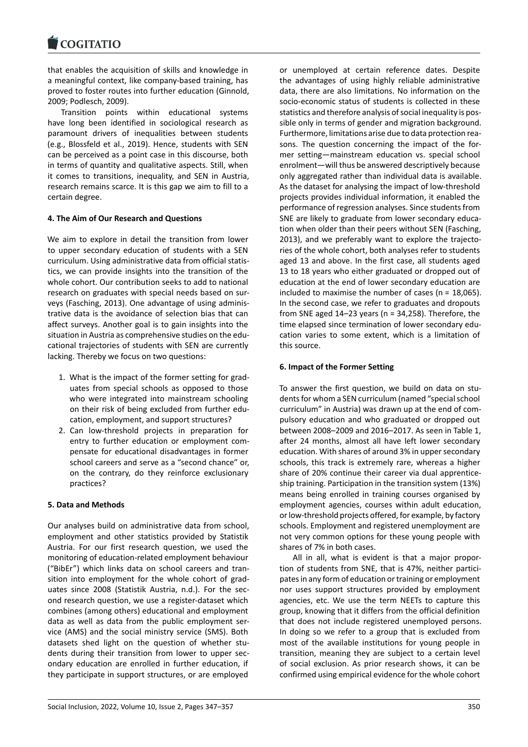#### COMITATIO

that enables the acquisition of skills and knowledge in [a meaningful contex](https://www.cogitatiopress.com)t, like company‐based training, has proved to foster routes into further education (Ginnold, 2009; Podlesch, 2009).

Transition points within educational systems have long been identified in sociological research as paramount drivers of inequalities between students (e.g., Blossfeld et al., 2019). Hence, students with SEN can be perceived as a point case in this discourse, both in terms of quantity and qualitative aspects. Still, when it comes to transitions, inequality, and SEN in Austria, research remains scarce. It is this gap we aim to fill to a certain degree.

# **4. The Aim of Our Research and Questions**

We aim to explore in detail the transition from lower to upper secondary education of students with a SEN curriculum. Using administrative data from official statis‐ tics, we can provide insights into the transition of the whole cohort. Our contribution seeks to add to national research on graduates with special needs based on sur‐ veys (Fasching, 2013). One advantage of using adminis‐ trative data is the avoidance of selection bias that can affect surveys. Another goal is to gain insights into the situation in Austria as comprehensive studies on the edu‐ cational trajectories of students with SEN are currently lacking. Thereby we focus on two questions:

- 1. What is the impact of the former setting for grad‐ uates from special schools as opposed to those who were integrated into mainstream schooling on their risk of being excluded from further edu‐ cation, employment, and support structures?
- 2. Can low‐threshold projects in preparation for entry to further education or employment com‐ pensate for educational disadvantages in former school careers and serve as a "second chance" or, on the contrary, do they reinforce exclusionary practices?

# **5. Data and Methods**

Our analyses build on administrative data from school, employment and other statistics provided by Statistik Austria. For our first research question, we used the monitoring of education‐related employment behaviour ("BibEr") which links data on school careers and tran‐ sition into employment for the whole cohort of grad‐ uates since 2008 (Statistik Austria, n.d.). For the second research question, we use a register‐dataset which combines (among others) educational and employment data as well as data from the public employment ser‐ vice (AMS) and the social ministry service (SMS). Both datasets shed light on the question of whether stu‐ dents during their transition from lower to upper sec‐ ondary education are enrolled in further education, if they participate in support structures, or are employed

or unemployed at certain reference dates. Despite the advantages of using highly reliable administrative data, there are also limitations. No information on the socio‐economic status of students is collected in these statistics and therefore analysis of social inequality is pos‐ sible only in terms of gender and migration background. Furthermore, limitations arise due to data protection rea‐ sons. The question concerning the impact of the for‐ mer setting—mainstream education vs. special school enrolment—will thus be answered descriptively because only aggregated rather than individual data is available. As the dataset for analysing the impact of low‐threshold projects provides individual information, it enabled the performance of regression analyses. Since students from SNE are likely to graduate from lower secondary education when older than their peers without SEN (Fasching, 2013), and we preferably want to explore the trajecto‐ ries of the whole cohort, both analyses refer to students aged 13 and above. In the first case, all students aged 13 to 18 years who either graduated or dropped out of education at the end of lower secondary education are included to maximise the number of cases (n = 18,065). In the second case, we refer to graduates and dropouts from SNE aged  $14-23$  years (n = 34,258). Therefore, the time elapsed since termination of lower secondary edu‐ cation varies to some extent, which is a limitation of this source.

# **6. Impact of the Former Setting**

To answer the first question, we build on data on stu‐ dents for whom a SEN curriculum (named "special school curriculum" in Austria) was drawn up at the end of com‐ pulsory education and who graduated or dropped out between 2008–2009 and 2016–2017. As seen in Table 1, after 24 months, almost all have left lower secondary education. With shares of around 3% in upper secondary schools, this track is extremely rare, whereas a higher share of 20% continue their career via dual apprentice‐ ship training. Participation in the transition system (13%) means being enrolled in training courses organised by employment agencies, courses within adult education, or low‐threshold projects offered, for example, by factory schools. Employment and registered unemployment are not very common options for these young people with shares of 7% in both cases.

All in all, what is evident is that a major propor‐ tion of students from SNE, that is 47%, neither partici‐ pates in any form of education or training or employment nor uses support structures provided by employment agencies, etc. We use the term NEETs to capture this group, knowing that it differs from the official definition that does not include registered unemployed persons. In doing so we refer to a group that is excluded from most of the available institutions for young people in transition, meaning they are subject to a certain level of social exclusion. As prior research shows, it can be confirmed using empirical evidence for the whole cohort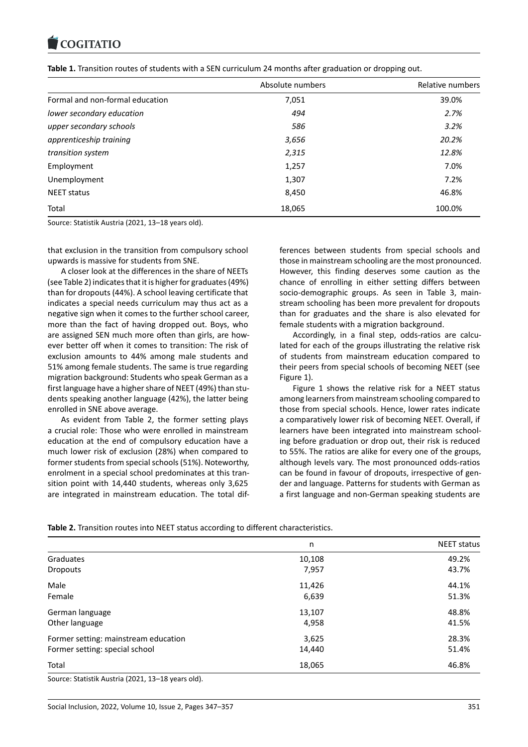#### COQUATIO

|                                 | Absolute numbers | Relative numbers |
|---------------------------------|------------------|------------------|
| Formal and non-formal education | 7,051            | 39.0%            |
| lower secondary education       | 494              | 2.7%             |
| upper secondary schools         | 586              | 3.2%             |
| apprenticeship training         | 3,656            | 20.2%            |
| transition system               | 2,315            | 12.8%            |
| Employment                      | 1,257            | 7.0%             |
| Unemployment                    | 1,307            | 7.2%             |
| <b>NEET status</b>              | 8,450            | 46.8%            |
| Total                           | 18,065           | 100.0%           |

**Table 1.** Transition routes of students with a SEN curriculum 24 months after graduation or dropping out.

Source: Statistik Austria (2021, 13–18 years old).

that exclusion in the transition from compulsory school upwards is massive for students from SNE.

A closer look at the differences in the share of NEETs (see Table 2) indicates that it is higher for graduates (49%) than for dropouts (44%). A school leaving certificate that indicates a special needs curriculum may thus act as a negative sign when it comes to the further school career, more than the fact of having dropped out. Boys, who are assigned SEN much more often than girls, are how‐ ever better off when it comes to transition: The risk of exclusion amounts to 44% among male students and 51% among female students. The same is true regarding migration background: Students who speak German as a first language have a higher share of NEET (49%) than stu‐ dents speaking another language (42%), the latter being enrolled in SNE above average.

As evident from Table 2, the former setting plays a crucial role: Those who were enrolled in mainstream education at the end of compulsory education have a much lower risk of exclusion (28%) when compared to former students from special schools (51%). Noteworthy, enrolment in a special school predominates at this tran‐ sition point with 14,440 students, whereas only 3,625 are integrated in mainstream education. The total dif‐ ferences between students from special schools and those in mainstream schooling are the most pronounced. However, this finding deserves some caution as the chance of enrolling in either setting differs between socio-demographic groups. As seen in Table 3, mainstream schooling has been more prevalent for dropouts than for graduates and the share is also elevated for female students with a migration background.

Accordingly, in a final step, odds‐ratios are calcu‐ lated for each of the groups illustrating the relative risk of students from mainstream education compared to their peers from special schools of becoming NEET (see Figure 1).

Figure 1 shows the relative risk for a NEET status among learners from mainstream schooling compared to those from special schools. Hence, lower rates indicate a comparatively lower risk of becoming NEET. Overall, if learners have been integrated into mainstream school‐ ing before graduation or drop out, their risk is reduced to 55%. The ratios are alike for every one of the groups, although levels vary. The most pronounced odds‐ratios can be found in favour of dropouts, irrespective of gender and language. Patterns for students with German as a first language and non‐German speaking students are

| Table 2. Transition routes into NEET status according to different characteristics. |  |  |
|-------------------------------------------------------------------------------------|--|--|
|-------------------------------------------------------------------------------------|--|--|

|                                      | n      | <b>NEET status</b> |
|--------------------------------------|--------|--------------------|
| Graduates                            | 10,108 | 49.2%              |
| <b>Dropouts</b>                      | 7,957  | 43.7%              |
| Male                                 | 11,426 | 44.1%              |
| Female                               | 6,639  | 51.3%              |
| German language                      | 13,107 | 48.8%              |
| Other language                       | 4,958  | 41.5%              |
| Former setting: mainstream education | 3,625  | 28.3%              |
| Former setting: special school       | 14,440 | 51.4%              |
| Total                                | 18,065 | 46.8%              |

Source: Statistik Austria (2021, 13–18 years old).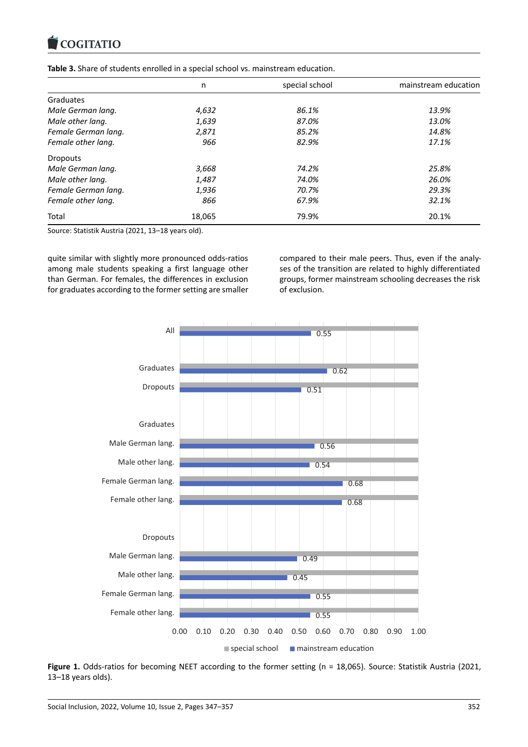#### COULTAILO

**Table 3.** Share of students enrolled in a special school vs. mainstream education.

|                     | n      | special school | mainstream education |  |  |
|---------------------|--------|----------------|----------------------|--|--|
| Graduates           |        |                |                      |  |  |
| Male German lang.   | 4,632  | 86.1%          | 13.9%                |  |  |
| Male other lang.    | 1,639  | 87.0%          | 13.0%                |  |  |
| Female German lang. | 2,871  | 85.2%          | 14.8%                |  |  |
| Female other lang.  | 966    | 82.9%          | 17.1%                |  |  |
| <b>Dropouts</b>     |        |                |                      |  |  |
| Male German lang.   | 3,668  | 74.2%          | 25.8%                |  |  |
| Male other lang.    | 1,487  | 74.0%          | 26.0%                |  |  |
| Female German lang. | 1,936  | 70.7%          | 29.3%                |  |  |
| Female other lang.  | 866    | 67.9%          | 32.1%                |  |  |
| Total               | 18,065 | 79.9%          | 20.1%                |  |  |

Source: Statistik Austria (2021, 13–18 years old).

quite similar with slightly more pronounced odds‐ratios among male students speaking a first language other than German. For females, the differences in exclusion for graduates according to the former setting are smaller compared to their male peers. Thus, even if the analy‐ ses of the transition are related to highly differentiated groups, former mainstream schooling decreases the risk of exclusion.



Figure 1. Odds-ratios for becoming NEET according to the former setting (n = 18,065). Source: Statistik Austria (2021, 13–18 years olds).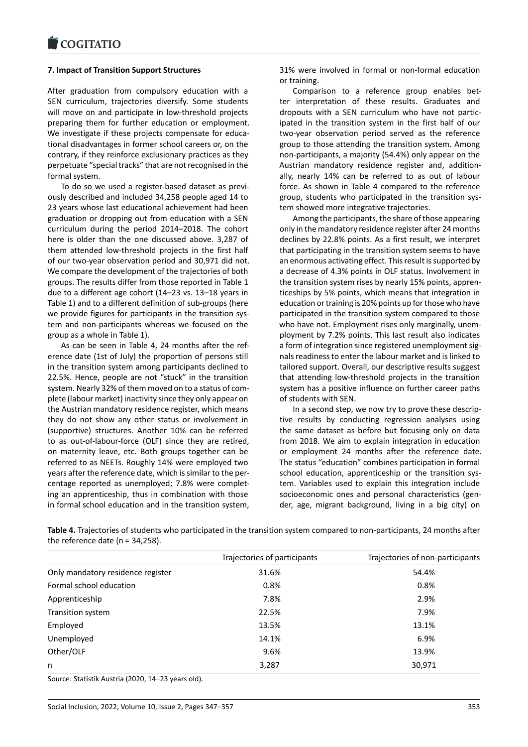### **7. Impact of Transition Support Structures**

[After graduation fro](https://www.cogitatiopress.com)m compulsory education with a SEN curriculum, trajectories diversify. Some students will move on and participate in low-threshold projects preparing them for further education or employment. We investigate if these projects compensate for educational disadvantages in former school careers or, on the contrary, if they reinforce exclusionary practices as they perpetuate "special tracks" that are not recognised in the formal system.

To do so we used a register‐based dataset as previ‐ ously described and included 34,258 people aged 14 to 23 years whose last educational achievement had been graduation or dropping out from education with a SEN curriculum during the period 2014–2018. The cohort here is older than the one discussed above. 3,287 of them attended low-threshold projects in the first half of our two‐year observation period and 30,971 did not. We compare the development of the trajectories of both groups. The results differ from those reported in Table 1 due to a different age cohort (14–23 vs. 13–18 years in Table 1) and to a different definition of sub‐groups (here we provide figures for participants in the transition system and non‐participants whereas we focused on the group as a whole in Table 1).

As can be seen in Table 4, 24 months after the ref‐ erence date (1st of July) the proportion of persons still in the transition system among participants declined to 22.5%. Hence, people are not "stuck" in the transition system. Nearly 32% of them moved on to a status of com‐ plete (labour market) inactivity since they only appear on the Austrian mandatory residence register, which means they do not show any other status or involvement in (supportive) structures. Another 10% can be referred to as out‐of‐labour‐force (OLF) since they are retired, on maternity leave, etc. Both groups together can be referred to as NEETs. Roughly 14% were employed two years after the reference date, which is similar to the per‐ centage reported as unemployed; 7.8% were complet‐ ing an apprenticeship, thus in combination with those in formal school education and in the transition system,

31% were involved in formal or non‐formal education or training.

Comparison to a reference group enables bet‐ ter interpretation of these results. Graduates and dropouts with a SEN curriculum who have not partic‐ ipated in the transition system in the first half of our two‐year observation period served as the reference group to those attending the transition system. Among non‐participants, a majority (54.4%) only appear on the Austrian mandatory residence register and, addition‐ ally, nearly 14% can be referred to as out of labour force. As shown in Table 4 compared to the reference group, students who participated in the transition sys‐ tem showed more integrative trajectories.

Among the participants, the share of those appearing only in the mandatory residence register after 24 months declines by 22.8% points. As a first result, we interpret that participating in the transition system seems to have an enormous activating effect. This result is supported by a decrease of 4.3% points in OLF status. Involvement in the transition system rises by nearly 15% points, appren‐ ticeships by 5% points, which means that integration in education or training is 20% points up for those who have participated in the transition system compared to those who have not. Employment rises only marginally, unemployment by 7.2% points. This last result also indicates a form of integration since registered unemployment sig‐ nals readiness to enter the labour market and is linked to tailored support. Overall, our descriptive results suggest that attending low‐threshold projects in the transition system has a positive influence on further career paths of students with SEN.

In a second step, we now try to prove these descrip‐ tive results by conducting regression analyses using the same dataset as before but focusing only on data from 2018. We aim to explain integration in education or employment 24 months after the reference date. The status "education" combines participation in formal school education, apprenticeship or the transition system. Variables used to explain this integration include socioeconomic ones and personal characteristics (gender, age, migrant background, living in a big city) on

|                                   | Trajectories of participants | Trajectories of non-participants |  |  |
|-----------------------------------|------------------------------|----------------------------------|--|--|
| Only mandatory residence register | 31.6%                        | 54.4%                            |  |  |
| Formal school education           | 0.8%                         | 0.8%                             |  |  |
| Apprenticeship                    | 7.8%                         | 2.9%                             |  |  |
| Transition system                 | 22.5%                        | 7.9%                             |  |  |
| Employed                          | 13.5%                        | 13.1%                            |  |  |
| Unemployed                        | 14.1%                        | 6.9%                             |  |  |
| Other/OLF                         | 9.6%                         | 13.9%                            |  |  |
| n                                 | 3,287                        | 30,971                           |  |  |

**Table 4.** Trajectories of students who participated in the transition system compared to non‐participants, 24 months after the reference date (n = 34,258).

Source: Statistik Austria (2020, 14–23 years old).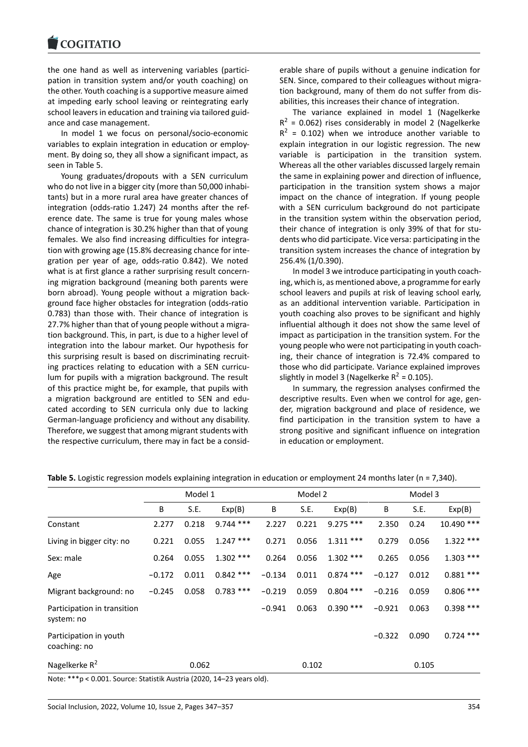#### COGITATIO

the one hand as well as intervening variables (partici‐ [pation in transition](https://www.cogitatiopress.com) system and/or youth coaching) on the other. Youth coaching is a supportive measure aimed at impeding early school leaving or reintegrating early school leavers in education and training via tailored guid‐ ance and case management.

In model 1 we focus on personal/socio‐economic variables to explain integration in education or employ‐ ment. By doing so, they all show a significant impact, as seen in Table 5.

Young graduates/dropouts with a SEN curriculum who do not live in a bigger city (more than 50,000 inhabitants) but in a more rural area have greater chances of integration (odds-ratio 1.247) 24 months after the reference date. The same is true for young males whose chance of integration is 30.2% higher than that of young females. We also find increasing difficulties for integra‐ tion with growing age (15.8% decreasing chance for inte‐ gration per year of age, odds‐ratio 0.842). We noted what is at first glance a rather surprising result concern‐ ing migration background (meaning both parents were born abroad). Young people without a migration back‐ ground face higher obstacles for integration (odds‐ratio 0.783) than those with. Their chance of integration is 27.7% higher than that of young people without a migra‐ tion background. This, in part, is due to a higher level of integration into the labour market. Our hypothesis for this surprising result is based on discriminating recruit‐ ing practices relating to education with a SEN curricu‐ lum for pupils with a migration background. The result of this practice might be, for example, that pupils with a migration background are entitled to SEN and edu‐ cated according to SEN curricula only due to lacking German‐language proficiency and without any disability. Therefore, we suggest that among migrant students with the respective curriculum, there may in fact be a consid‐ erable share of pupils without a genuine indication for SEN. Since, compared to their colleagues without migration background, many of them do not suffer from dis‐ abilities, this increases their chance of integration.

The variance explained in model 1 (Nagelkerke  $R^2$  = 0.062) rises considerably in model 2 (Nagelkerke  $R^2$  = 0.102) when we introduce another variable to explain integration in our logistic regression. The new variable is participation in the transition system. Whereas all the other variables discussed largely remain the same in explaining power and direction of influence, participation in the transition system shows a major impact on the chance of integration. If young people with a SEN curriculum background do not participate in the transition system within the observation period, their chance of integration is only 39% of that for stu‐ dents who did participate. Vice versa: participating in the transition system increases the chance of integration by 256.4% (1/0.390).

In model 3 we introduce participating in youth coach‐ ing, which is, as mentioned above, a programme for early school leavers and pupils at risk of leaving school early, as an additional intervention variable. Participation in youth coaching also proves to be significant and highly influential although it does not show the same level of impact as participation in the transition system. For the young people who were not participating in youth coach‐ ing, their chance of integration is 72.4% compared to those who did participate. Variance explained improves slightly in model 3 (Nagelkerke  $R^2$  = 0.105).

In summary, the regression analyses confirmed the descriptive results. Even when we control for age, gen‐ der, migration background and place of residence, we find participation in the transition system to have a strong positive and significant influence on integration in education or employment.

|                                                                              | Model 1  |       |             | Model 2  |       |             | Model 3  |       |             |
|------------------------------------------------------------------------------|----------|-------|-------------|----------|-------|-------------|----------|-------|-------------|
|                                                                              | B        | S.E.  | Exp(B)      | B        | S.E.  | Exp(B)      | B        | S.E.  | Exp(B)      |
| Constant                                                                     | 2.277    | 0.218 | $9.744$ *** | 2.227    | 0.221 | $9.275***$  | 2.350    | 0.24  | 10.490 ***  |
| Living in bigger city: no                                                    | 0.221    | 0.055 | $1.247***$  | 0.271    | 0.056 | $1.311***$  | 0.279    | 0.056 | $1.322***$  |
| Sex: male                                                                    | 0.264    | 0.055 | $1.302$ *** | 0.264    | 0.056 | $1.302$ *** | 0.265    | 0.056 | $1.303$ *** |
| Age                                                                          | $-0.172$ | 0.011 | $0.842***$  | $-0.134$ | 0.011 | $0.874$ *** | $-0.127$ | 0.012 | $0.881$ *** |
| Migrant background: no                                                       | $-0.245$ | 0.058 | $0.783***$  | $-0.219$ | 0.059 | $0.804$ *** | $-0.216$ | 0.059 | $0.806$ *** |
| Participation in transition<br>system: no                                    |          |       |             | $-0.941$ | 0.063 | $0.390$ *** | $-0.921$ | 0.063 | $0.398$ *** |
| Participation in youth<br>coaching: no                                       |          |       |             |          |       |             | $-0.322$ | 0.090 | $0.724$ *** |
| Nagelkerke R <sup>2</sup>                                                    |          | 0.062 |             |          | 0.102 |             |          | 0.105 |             |
| Note: $***$ $\sim$ 0.001. Course: Ctatistic Austria (2020, 14, 22 usars and) |          |       |             |          |       |             |          |       |             |

**Table 5.** Logistic regression models explaining integration in education or employment 24 months later (n = 7,340).

Note: \*\*\*p < 0.001. Source: Statistik Austria (2020, 14–23 years old).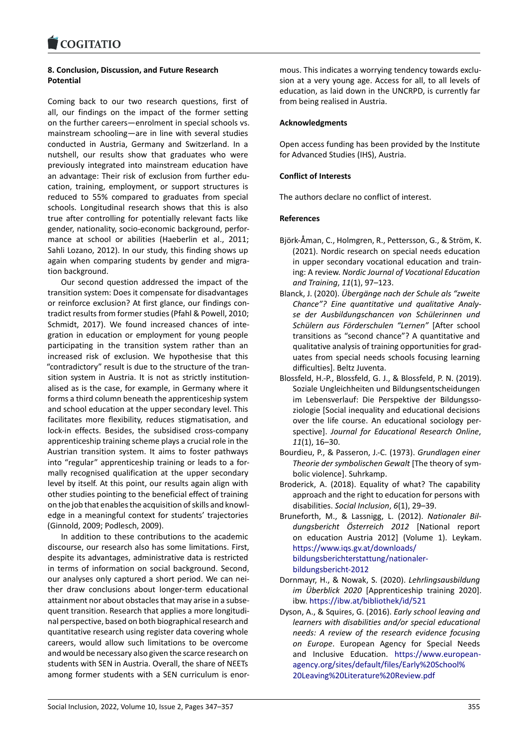### **8. Conclusion, Discussion, and Future Research [Potential](https://www.cogitatiopress.com)**

Coming back to our two research questions, first of all, our findings on the impact of the former setting on the further careers—enrolment in special schools vs. mainstream schooling—are in line with several studies conducted in Austria, Germany and Switzerland. In a nutshell, our results show that graduates who were previously integrated into mainstream education have an advantage: Their risk of exclusion from further edu‐ cation, training, employment, or support structures is reduced to 55% compared to graduates from special schools. Longitudinal research shows that this is also true after controlling for potentially relevant facts like gender, nationality, socio‐economic background, perfor‐ mance at school or abilities (Haeberlin et al., 2011; Sahli Lozano, 2012). In our study, this finding shows up again when comparing students by gender and migra‐ tion background.

Our second question addressed the impact of the transition system: Does it compensate for disadvantages or reinforce exclusion? At first glance, our findings con‐ tradict results from former studies (Pfahl & Powell, 2010; Schmidt, 2017). We found increased chances of inte‐ gration in education or employment for young people participating in the transition system rather than an increased risk of exclusion. We hypothesise that this "contradictory" result is due to the structure of the tran‐ sition system in Austria. It is not as strictly institutionalised as is the case, for example, in Germany where it forms a third column beneath the apprenticeship system and school education at the upper secondary level. This facilitates more flexibility, reduces stigmatisation, and lock‐in effects. Besides, the subsidised cross‐company apprenticeship training scheme plays a crucial role in the Austrian transition system. It aims to foster pathways into "regular" apprenticeship training or leads to a for‐ mally recognised qualification at the upper secondary level by itself. At this point, our results again align with other studies pointing to the beneficial effect of training on the job that enables the acquisition of skills and knowl‐ edge in a meaningful context for students' trajectories (Ginnold, 2009; Podlesch, 2009).

In addition to these contributions to the academic discourse, our research also has some limitations. First, despite its advantages, administrative data is restricted in terms of information on social background. Second, our analyses only captured a short period. We can nei‐ ther draw conclusions about longer‐term educational attainment nor about obstacles that may arise in a subse‐ quent transition. Research that applies a more longitudi‐ nal perspective, based on both biographical research and quantitative research using register data covering whole careers, would allow such limitations to be overcome and would be necessary also given the scarce research on students with SEN in Austria. Overall, the share of NEETs among former students with a SEN curriculum is enor‐

mous. This indicates a worrying tendency towards exclu‐ sion at a very young age. Access for all, to all levels of education, as laid down in the UNCRPD, is currently far from being realised in Austria.

### **Acknowledgments**

Open access funding has been provided by the Institute for Advanced Studies (IHS), Austria.

### **Conflict of Interests**

The authors declare no conflict of interest.

### **References**

- Björk‐Åman, C., Holmgren, R., Pettersson, G., & Ström, K. (2021). Nordic research on special needs education in upper secondary vocational education and train‐ ing: A review. *Nordic Journal of Vocational Education and Training*, *11*(1), 97–123.
- Blanck, J. (2020). *Übergänge nach der Schule als "zweite Chance"? Eine quantitative und qualitative Analy‐ se der Ausbildungschancen von Schülerinnen und Schülern aus Förderschulen "Lernen"* [After school transitions as "second chance"? A quantitative and qualitative analysis of training opportunities for grad‐ uates from special needs schools focusing learning difficulties]. Beltz Juventa.
- Blossfeld, H.‐P., Blossfeld, G. J., & Blossfeld, P. N. (2019). Soziale Ungleichheiten und Bildungsentscheidungen im Lebensverlauf: Die Perspektive der Bildungssoziologie [Social inequality and educational decisions over the life course. An educational sociology per‐ spective]. *Journal for Educational Research Online*, *11*(1), 16–30.
- Bourdieu, P., & Passeron, J.‐C. (1973). *Grundlagen einer Theorie der symbolischen Gewalt* [The theory of sym‐ bolic violence]. Suhrkamp.
- Broderick, A. (2018). Equality of what? The capability approach and the right to education for persons with disabilities. *Social Inclusion*, *6*(1), 29–39.
- Bruneforth, M., & Lassnigg, L. (2012). *Nationaler Bil‐ dungsbericht Österreich 2012* [National report on education Austria 2012] (Volume 1). Leykam. https://www.iqs.gv.at/downloads/ bildungsberichterstattung/nationaler‐ bildungsbericht‐2012
- Dornmayr, H., & Nowak, S. (2020). *Lehrlingsausbildung [im Überblick 2020](https://www.iqs.gv.at/downloads/bildungsberichterstattung/nationaler-bildungsbericht-2012)* [Apprenticeship training 2020]. ibw. [https://ibw.at/bibliothek/id/521](https://www.iqs.gv.at/downloads/bildungsberichterstattung/nationaler-bildungsbericht-2012)
- Dys[on, A., & Squires, G. \(](https://www.iqs.gv.at/downloads/bildungsberichterstattung/nationaler-bildungsbericht-2012)2016). *Early school leaving and learners with disabilities and/or special educational needs: A review of the research evidence focusing on Europe*[. European Agency for](https://ibw.at/bibliothek/id/521) Special Needs and Inclusive Education. https://www.european‐ agency.org/sites/default/files/Early%20School% 20Leaving%20Literature%20Review.pdf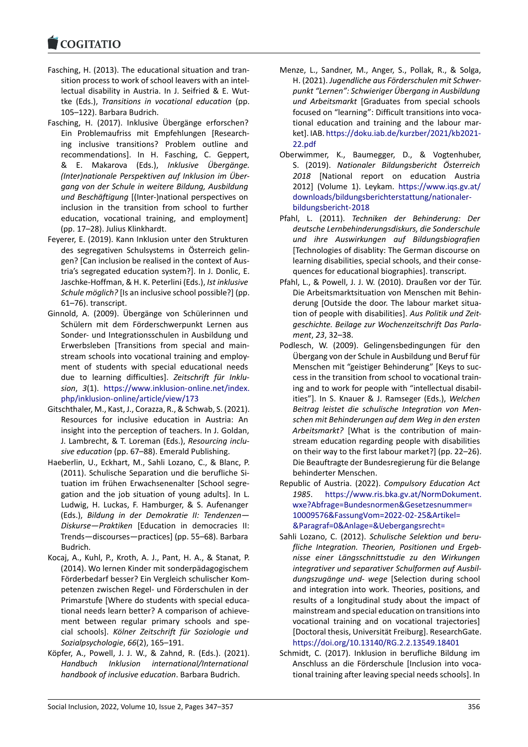#### **LOGITATIO**

- Fasching, H. (2013). The educational situation and tran‐ [sition process to](https://www.cogitatiopress.com) work of school leavers with an intel‐ lectual disability in Austria. In J. Seifried & E. Wut‐ tke (Eds.), *Transitions in vocational education* (pp. 105–122). Barbara Budrich.
- Fasching, H. (2017). Inklusive Übergänge erforschen? Ein Problemaufriss mit Empfehlungen [Research‐ ing inclusive transitions? Problem outline and recommendations]. In H. Fasching, C. Geppert, & E. Makarova (Eds.), *Inklusive Übergänge. (Inter)nationale Perspektiven auf Inklusion im Über‐ gang von der Schule in weitere Bildung, Ausbildung und Beschäftigung* [(Inter‐)national perspectives on inclusion in the transition from school to further education, vocational training, and employment] (pp. 17–28). Julius Klinkhardt.
- Feyerer, E. (2019). Kann Inklusion unter den Strukturen des segregativen Schulsystems in Österreich gelin‐ gen? [Can inclusion be realised in the context of Austria's segregated education system?]. In J. Donlic, E. Jaschke‐Hoffman, & H. K. Peterlini (Eds.), *Ist inklusive Schule möglich?* [Is an inclusive school possible?] (pp. 61–76). transcript.
- Ginnold, A. (2009). Übergänge von Schülerinnen und Schülern mit dem Förderschwerpunkt Lernen aus Sonder‐ und Integrationsschulen in Ausbildung und Erwerbsleben [Transitions from special and main‐ stream schools into vocational training and employ‐ ment of students with special educational needs due to learning difficulties]. *Zeitschrift für Inklu‐ sion*, *3*(1). https://www.inklusion‐online.net/index. php/inklusion‐online/article/view/173
- Gitschthaler, M., Kast, J., Corazza, R., & Schwab, S. (2021). Resources for inclusive education in Austria: An insight into [the perception of teachers. In J. Goldan,](https://www.inklusion-online.net/index.php/inklusion-online/article/view/173) [J. Lambrecht, & T. Loreman \(Eds.\),](https://www.inklusion-online.net/index.php/inklusion-online/article/view/173) *Resourcing inclu‐ sive education* (pp. 67–88). Emerald Publishing.
- Haeberlin, U., Eckhart, M., Sahli Lozano, C., & Blanc, P. (2011). Schulische Separation und die berufliche Si‐ tuation im frühen Erwachsenenalter [School segre‐ gation and the job situation of young adults]. In L. Ludwig, H. Luckas, F. Hamburger, & S. Aufenanger (Eds.), *Bildung in der Demokratie II: Tendenzen— Diskurse—Praktiken* [Education in democracies II: Trends—discourses—practices] (pp. 55–68). Barbara Budrich.
- Kocaj, A., Kuhl, P., Kroth, A. J., Pant, H. A., & Stanat, P. (2014). Wo lernen Kinder mit sonderpädagogischem Förderbedarf besser? Ein Vergleich schulischer Kom‐ petenzen zwischen Regel‐ und Förderschulen in der Primarstufe [Where do students with special educa‐ tional needs learn better? A comparison of achieve‐ ment between regular primary schools and spe‐ cial schools]. *Kölner Zeitschrift für Soziologie und Sozialpsychologie*, *66*(2), 165–191.
- Köpfer, A., Powell, J. J. W., & Zahnd, R. (Eds.). (2021). *Handbuch Inklusion international/International handbook of inclusive education*. Barbara Budrich.
- Menze, L., Sandner, M., Anger, S., Pollak, R., & Solga, H. (2021). *Jugendliche aus Förderschulen mit Schwer‐ punkt "Lernen": Schwieriger Übergang in Ausbildung und Arbeitsmarkt* [Graduates from special schools focused on "learning": Difficult transitions into voca‐ tional education and training and the labour mar‐ ket]. IAB. https://doku.iab.de/kurzber/2021/kb2021‐ 22.pdf
- Oberwimmer, K., Baumegger, D., & Vogtenhuber, S. (2019). *Nationaler Bildungsbericht Österreich 2018* [[National report on education Austria](https://doku.iab.de/kurzber/2021/kb2021-22.pdf) [2012\]](https://doku.iab.de/kurzber/2021/kb2021-22.pdf) (Volume 1). Leykam. https://www.iqs.gv.at/ downloads/bildungsberichterstattung/nationaler‐ bildungsbericht‐2018
- Pfahl, L. (2011). *Techniken der Behinderung: Der deutsche Lernbehinderungsdi[skurs, die Sonderschule](https://www.iqs.gv.at/downloads/bildungsberichterstattung/nationaler-bildungsbericht-2018) [und ihre Auswirkungen auf Bildungsbiografie](https://www.iqs.gv.at/downloads/bildungsberichterstattung/nationaler-bildungsbericht-2018)n* [\[Technologies of disab](https://www.iqs.gv.at/downloads/bildungsberichterstattung/nationaler-bildungsbericht-2018)lity: The German discourse on learning disabilities, special schools, and their conse‐ quences for educational biographies]. transcript.
- Pfahl, L., & Powell, J. J. W. (2010). Draußen vor der Tür. Die Arbeitsmarktsituation von Menschen mit Behin‐ derung [Outside the door. The labour market situa‐ tion of people with disabilities]. *Aus Politik und Zeit‐ geschichte. Beilage zur Wochenzeitschrift Das Parla‐ ment*, *23*, 32–38.
- Podlesch, W. (2009). Gelingensbedingungen für den Übergang von der Schule in Ausbildung und Beruf für Menschen mit "geistiger Behinderung" [Keys to suc‐ cess in the transition from school to vocational train‐ ing and to work for people with "intellectual disabil‐ ities"]. In S. Knauer & J. Ramseger (Eds.), *Welchen Beitrag leistet die schulische Integration von Men‐ schen mit Behinderungen auf dem Weg in den ersten Arbeitsmarkt?* [What is the contribution of main‐ stream education regarding people with disabilities on their way to the first labour market?] (pp. 22–26). Die Beauftragte der Bundesregierung für die Belange behinderter Menschen.
- Republic of Austria. (2022). *Compulsory Education Act 1985*. https://www.ris.bka.gv.at/NormDokument. wxe?Abfrage=Bundesnormen&Gesetzesnummer= 10009576&FassungVom=2022‐02‐25&Artikel= &Paragraf=0&Anlage=&Uebergangsrecht=
- Sahli Lozano, C. (2012). *[Schulische Selektion und beru‐](https://www.ris.bka.gv.at/NormDokument.wxe?Abfrage=Bundesnormen&Gesetzesnummer=10009576&FassungVom=2022-02-25&Artikel=&Paragraf=0&Anlage=&Uebergangsrecht=) [fliche Integration. Theorien, Positionen und Erge](https://www.ris.bka.gv.at/NormDokument.wxe?Abfrage=Bundesnormen&Gesetzesnummer=10009576&FassungVom=2022-02-25&Artikel=&Paragraf=0&Anlage=&Uebergangsrecht=)b‐ [nisse einer Längsschnittstudie zu den Wirku](https://www.ris.bka.gv.at/NormDokument.wxe?Abfrage=Bundesnormen&Gesetzesnummer=10009576&FassungVom=2022-02-25&Artikel=&Paragraf=0&Anlage=&Uebergangsrecht=)ngen [integrativer und separativer Schulformen a](https://www.ris.bka.gv.at/NormDokument.wxe?Abfrage=Bundesnormen&Gesetzesnummer=10009576&FassungVom=2022-02-25&Artikel=&Paragraf=0&Anlage=&Uebergangsrecht=)uf Ausbil‐ dungszugänge und‐ wege* [Selection during school and integration into work. Theories, positions, and results of a longitudinal study about the impact of mainstream and special education on transitions into vocational training and on vocational trajectories] [Doctoral thesis, Universität Freiburg]. ResearchGate. https://doi.org/10.13140/RG.2.2.13549.18401
- Schmidt, C. (2017). Inklusion in berufliche Bildung im Anschluss an die Förderschule [Inclusion into voca‐ tional training after leaving special needs schools]. In